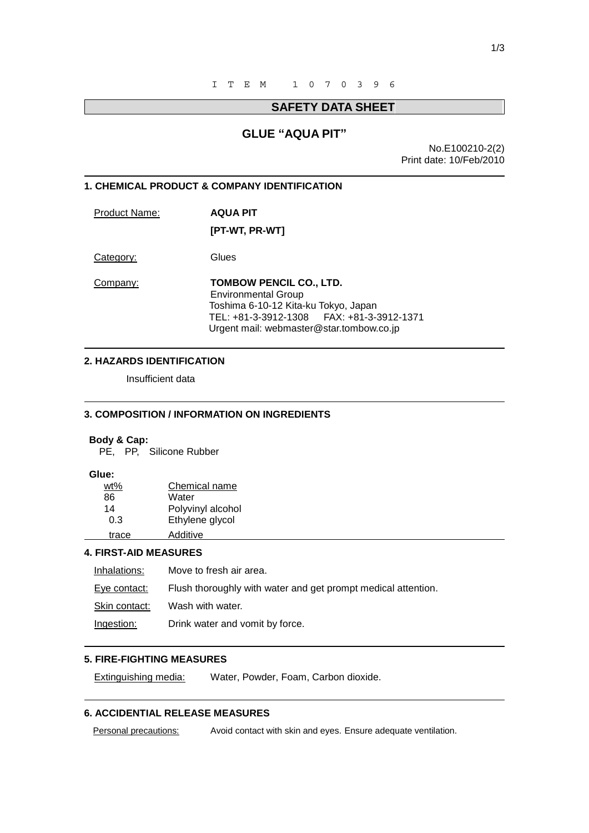# **SAFETY DATA SHEET**

# **GLUE "AQUA PIT"**

No.E100210-2(2) Print date: 10/Feb/2010

#### **1. CHEMICAL PRODUCT & COMPANY IDENTIFICATION**

Product Name: **AQUA PIT** 

 **[PT-WT, PR-WT]** 

Category: Glues

Company: **TOMBOW PENCIL CO., LTD.** Environmental Group Toshima 6-10-12 Kita-ku Tokyo, Japan TEL: +81-3-3912-1308 FAX: +81-3-3912-1371 Urgent mail: webmaster@star.tombow.co.jp

#### **2. HAZARDS IDENTIFICATION**

Insufficient data

### **3. COMPOSITION / INFORMATION ON INGREDIENTS**

#### **Body & Cap:**

PE, PP, Silicone Rubber

### **Glue:**

 $\overline{a}$ 

 $\overline{a}$ 

 $\overline{a}$ 

 $\overline{a}$ 

 $\overline{a}$ 

| wt%   | Chemical name     |
|-------|-------------------|
| 86    | Water             |
| 14    | Polyvinyl alcohol |
| 0.3   | Ethylene glycol   |
| trace | Additive          |

### **4. FIRST-AID MEASURES**

| Inhalations:  | Move to fresh air area.                                       |
|---------------|---------------------------------------------------------------|
| Eye contact:  | Flush thoroughly with water and get prompt medical attention. |
| Skin contact: | Wash with water.                                              |
| Ingestion:    | Drink water and vomit by force.                               |

# **5. FIRE-FIGHTING MEASURES**

Extinguishing media: Water, Powder, Foam, Carbon dioxide.

## **6. ACCIDENTIAL RELEASE MEASURES**

Personal precautions: Avoid contact with skin and eyes. Ensure adequate ventilation.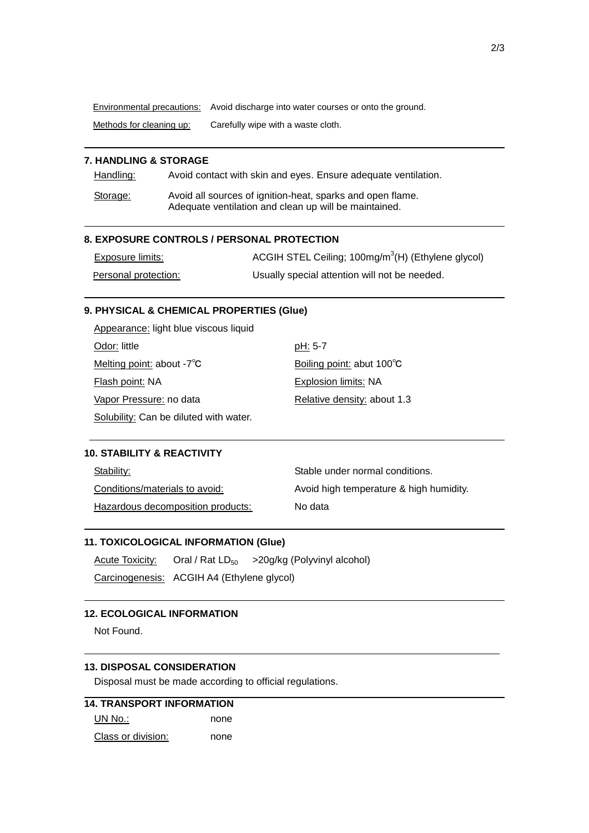Environmental precautions: Avoid discharge into water courses or onto the ground.

Methods for cleaning up: Carefully wipe with a waste cloth.

# **7. HANDLING & STORAGE**

 $\overline{a}$ 

 $\overline{a}$ 

 $\overline{a}$ 

 $\overline{a}$ 

 $\overline{a}$ 

 $\overline{a}$ 

 $\overline{a}$ 

Handling: Avoid contact with skin and eyes. Ensure adequate ventilation.

Storage: Avoid all sources of ignition-heat, sparks and open flame. Adequate ventilation and clean up will be maintained.

### **8. EXPOSURE CONTROLS / PERSONAL PROTECTION**

| <b>Exposure limits:</b> | ACGIH STEL Ceiling; 100mg/m <sup>3</sup> (H) (Ethylene glycol) |
|-------------------------|----------------------------------------------------------------|
| Personal protection:    | Usually special attention will not be needed.                  |

### **9. PHYSICAL & CHEMICAL PROPERTIES (Glue)**

| Appearance: light blue viscous liquid  |                             |
|----------------------------------------|-----------------------------|
| Odor: little                           | pH: 5-7                     |
| Melting point: about $-7^{\circ}$ C    | Boiling point: abut 100°C   |
| Flash point: NA                        | Explosion limits: NA        |
| Vapor Pressure: no data                | Relative density: about 1.3 |
| Solubility: Can be diluted with water. |                             |

### **10. STABILITY & REACTIVITY**

| Stability:                        | Stable under normal conditions.         |
|-----------------------------------|-----------------------------------------|
| Conditions/materials to avoid:    | Avoid high temperature & high humidity. |
| Hazardous decomposition products: | No data                                 |

### **11. TOXICOLOGICAL INFORMATION (Glue)**

Acute Toxicity: Oral / Rat  $LD_{50}$  > 20g/kg (Polyvinyl alcohol) Carcinogenesis: ACGIH A4 (Ethylene glycol)

### **12. ECOLOGICAL INFORMATION**

Not Found.

## **13. DISPOSAL CONSIDERATION**

Disposal must be made according to official regulations.

| <b>14. TRANSPORT INFORMATION</b> |      |  |
|----------------------------------|------|--|
| UN No.:                          | none |  |
| Class or division:               | none |  |